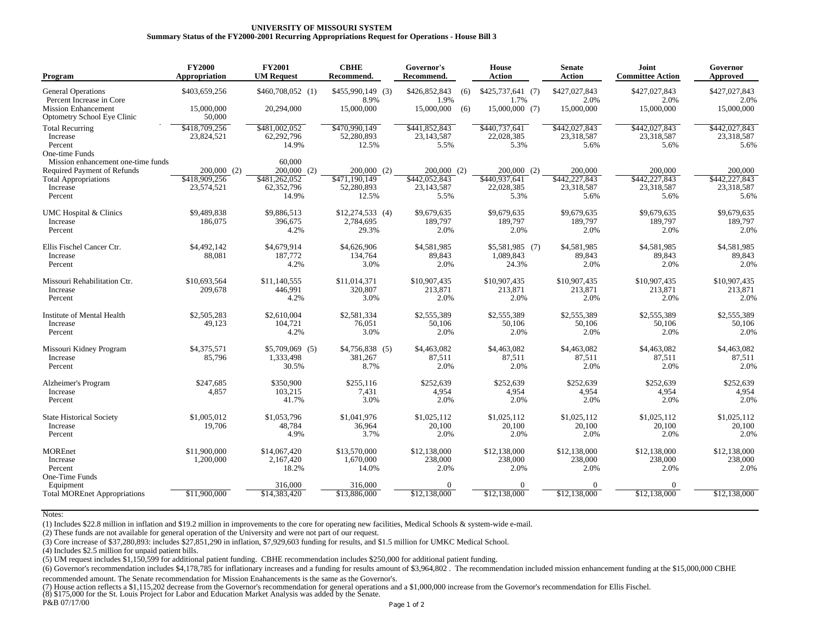## **UNIVERSITY OF MISSOURI SYSTEM Summary Status of the FY2000-2001 Recurring Appropriations Request for Operations - House Bill 3**

| Program                                                                                                                        | <b>FY2000</b><br>Appropriation               | <b>FY2001</b><br><b>UM Request</b>                               | <b>CBHE</b><br>Recommend.                             | Governor's<br>Recommend.                               | <b>House</b><br><b>Action</b>                        | <b>Senate</b><br><b>Action</b>                 | <b>Joint</b><br><b>Committee Action</b>        | Governor<br>Approved                           |
|--------------------------------------------------------------------------------------------------------------------------------|----------------------------------------------|------------------------------------------------------------------|-------------------------------------------------------|--------------------------------------------------------|------------------------------------------------------|------------------------------------------------|------------------------------------------------|------------------------------------------------|
| <b>General Operations</b><br>Percent Increase in Core<br><b>Mission Enhancement</b><br>Optometry School Eye Clinic             | \$403,659,256<br>15,000,000<br>50,000        | \$460,708,052 (1)<br>20,294,000                                  | \$455,990,149 (3)<br>8.9%<br>15,000,000               | \$426,852,843<br>(6)<br>1.9%<br>15,000,000<br>(6)      | $$425,737,641$ (7)<br>1.7%<br>15,000,000 (7)         | \$427,027,843<br>2.0%<br>15,000,000            | \$427,027,843<br>2.0%<br>15,000,000            | \$427,027,843<br>2.0%<br>15,000,000            |
| <b>Total Recurring</b><br>Increase<br>Percent<br>One-time Funds                                                                | \$418,709,256<br>23,824,521                  | \$481,002,052<br>62,292,796<br>14.9%                             | \$470,990,149<br>52,280,893<br>12.5%                  | \$441,852,843<br>23, 143, 587<br>5.5%                  | \$440,737,641<br>22,028,385<br>5.3%                  | \$442,027,843<br>23,318,587<br>5.6%            | \$442,027,843<br>23,318,587<br>5.6%            | \$442,027,843<br>23,318,587<br>5.6%            |
| Mission enhancement one-time funds<br><b>Required Payment of Refunds</b><br><b>Total Appropriations</b><br>Increase<br>Percent | $200,000$ (2)<br>\$418,909,256<br>23,574,521 | 60,000<br>200,000<br>(2)<br>\$481,262,052<br>62,352,796<br>14.9% | $200,000$ (2)<br>\$471.190.149<br>52,280,893<br>12.5% | $200,000$ (2)<br>\$442,052,843<br>23, 143, 587<br>5.5% | $200,000$ (2)<br>\$440,937,641<br>22,028,385<br>5.3% | 200,000<br>\$442,227,843<br>23,318,587<br>5.6% | 200,000<br>\$442,227,843<br>23,318,587<br>5.6% | 200,000<br>\$442,227,843<br>23,318,587<br>5.6% |
| <b>UMC</b> Hospital & Clinics<br>Increase<br>Percent                                                                           | \$9,489,838<br>186,075                       | \$9,886,513<br>396,675<br>4.2%                                   | $$12.274.533$ (4)<br>2,784,695<br>29.3%               | \$9,679,635<br>189,797<br>2.0%                         | \$9,679,635<br>189,797<br>2.0%                       | \$9,679,635<br>189,797<br>2.0%                 | \$9,679,635<br>189,797<br>2.0%                 | \$9,679,635<br>189,797<br>2.0%                 |
| Ellis Fischel Cancer Ctr.<br>Increase<br>Percent                                                                               | \$4,492,142<br>88,081                        | \$4,679.914<br>187,772<br>4.2%                                   | \$4,626,906<br>134,764<br>3.0%                        | \$4,581,985<br>89,843<br>2.0%                          | $$5,581,985$ (7)<br>1,089,843<br>24.3%               | \$4,581,985<br>89,843<br>2.0%                  | \$4,581,985<br>89,843<br>2.0%                  | \$4,581,985<br>89,843<br>2.0%                  |
| Missouri Rehabilitation Ctr.<br>Increase<br>Percent                                                                            | \$10,693,564<br>209,678                      | \$11,140,555<br>446,991<br>4.2%                                  | \$11,014,371<br>320,807<br>3.0%                       | \$10,907,435<br>213,871<br>2.0%                        | \$10,907,435<br>213,871<br>2.0%                      | \$10,907,435<br>213,871<br>2.0%                | \$10,907,435<br>213,871<br>2.0%                | \$10,907,435<br>213,871<br>2.0%                |
| Institute of Mental Health<br>Increase<br>Percent                                                                              | \$2,505,283<br>49,123                        | \$2,610,004<br>104,721<br>4.2%                                   | \$2,581,334<br>76,051<br>3.0%                         | \$2,555,389<br>50,106<br>2.0%                          | \$2,555,389<br>50,106<br>2.0%                        | \$2,555,389<br>50,106<br>2.0%                  | \$2,555,389<br>50,106<br>2.0%                  | \$2,555,389<br>50,106<br>2.0%                  |
| Missouri Kidney Program<br>Increase<br>Percent                                                                                 | \$4,375,571<br>85,796                        | $$5,709,069$ (5)<br>1,333,498<br>30.5%                           | $$4,756,838$ (5)<br>381,267<br>8.7%                   | \$4,463,082<br>87,511<br>2.0%                          | \$4,463,082<br>87,511<br>2.0%                        | \$4,463,082<br>87,511<br>2.0%                  | \$4,463,082<br>87,511<br>2.0%                  | \$4,463,082<br>87,511<br>2.0%                  |
| Alzheimer's Program<br>Increase<br>Percent                                                                                     | \$247.685<br>4,857                           | \$350,900<br>103,215<br>41.7%                                    | \$255.116<br>7.431<br>3.0%                            | \$252,639<br>4,954<br>2.0%                             | \$252,639<br>4,954<br>2.0%                           | \$252.639<br>4,954<br>2.0%                     | \$252,639<br>4,954<br>2.0%                     | \$252,639<br>4,954<br>2.0%                     |
| <b>State Historical Society</b><br>Increase<br>Percent                                                                         | \$1,005,012<br>19,706                        | \$1,053,796<br>48,784<br>4.9%                                    | \$1,041,976<br>36,964<br>3.7%                         | \$1,025,112<br>20,100<br>2.0%                          | \$1,025,112<br>20,100<br>2.0%                        | \$1,025,112<br>20,100<br>2.0%                  | \$1,025,112<br>20,100<br>2.0%                  | \$1,025,112<br>20,100<br>2.0%                  |
| <b>MOREnet</b><br>Increase<br>Percent<br>One-Time Funds                                                                        | \$11,900,000<br>1,200,000                    | \$14,067,420<br>2,167,420<br>18.2%                               | \$13,570,000<br>1.670.000<br>14.0%                    | \$12,138,000<br>238,000<br>2.0%                        | \$12,138,000<br>238,000<br>2.0%                      | \$12,138,000<br>238,000<br>2.0%                | \$12,138,000<br>238,000<br>2.0%                | \$12,138,000<br>238,000<br>2.0%                |
| Equipment<br><b>Total MOREnet Appropriations</b>                                                                               | \$11,900,000                                 | 316,000<br>\$14,383,420                                          | 316,000<br>\$13,886,000                               | $\Omega$<br>\$12,138,000                               | $\Omega$<br>\$12,138,000                             | $\Omega$<br>\$12,138,000                       | $\Omega$<br>\$12,138,000                       | \$12,138,000                                   |

Notes:

(1) Includes \$22.8 million in inflation and \$19.2 million in improvements to the core for operating new facilities, Medical Schools & system-wide e-mail.

(2) These funds are not available for general operation of the University and were not part of our request.

(3) Core increase of \$37,280,893: includes \$27,851,290 in inflation, \$7,929,603 funding for results, and \$1.5 million for UMKC Medical School.

(4) Includes \$2.5 million for unpaid patient bills.

(5) UM request includes \$1,150,599 for additional patient funding. CBHE recommendation includes \$250,000 for additional patient funding.

(6) Governor's recommendation includes \$4,178,785 for inflationary increases and a funding for results amount of \$3,964,802 . The recommendation included mission enhancement funding at the \$15,000,000 CBHE

recommended amount. The Senate recommendation for Mission Enahancements is the same as the Governor's.

(7) House action reflects a \$1,115,202 decrease from the Governor's recommendation for general operations and a \$1,000,000 increase from the Governor's recommendation for Ellis Fischel.

(8) \$175,000 for the St. Louis Project for Labor and Education Market Analysis was added by the Senate.

P&B 07/17/00